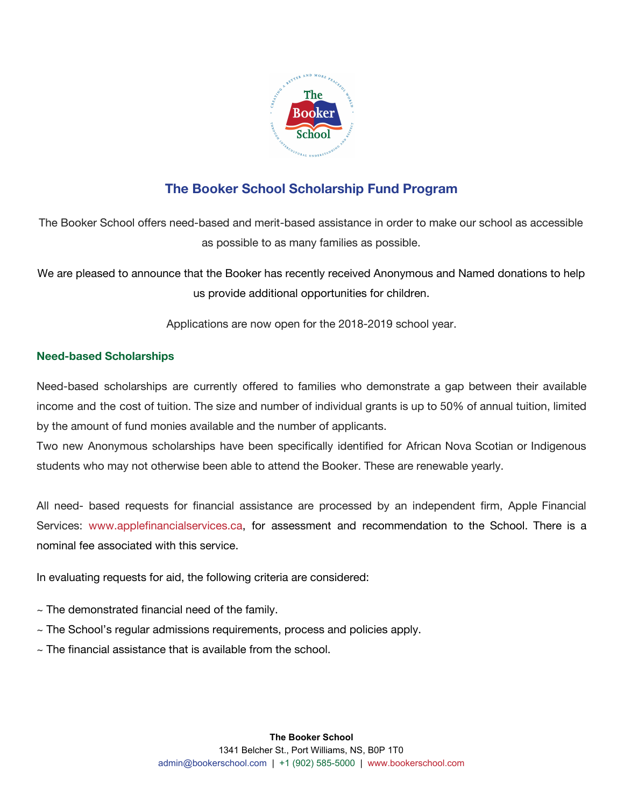

# **The Booker School Scholarship Fund Program**

The Booker School offers need-based and merit-based assistance in order to make our school as accessible as possible to as many families as possible.

We are pleased to announce that the Booker has recently received Anonymous and Named donations to help us provide additional opportunities for children.

Applications are now open for the 2018-2019 school year.

## **Need-based Scholarships**

Need-based scholarships are currently offered to families who demonstrate a gap between their available income and the cost of tuition. The size and number of individual grants is up to 50% of annual tuition, limited by the amount of fund monies available and the number of applicants.

Two new Anonymous scholarships have been specifically identified for African Nova Scotian or Indigenous students who may not otherwise been able to attend the Booker. These are renewable yearly.

All need- based requests for financial assistance are processed by an independent firm, Apple Financial Services: www.applefinancialservices.ca, for assessment and recommendation to the School. There is a nominal fee associated with this service.

In evaluating requests for aid, the following criteria are considered:

- $\sim$  The demonstrated financial need of the family.
- $\sim$  The School's regular admissions requirements, process and policies apply.
- $\sim$  The financial assistance that is available from the school.